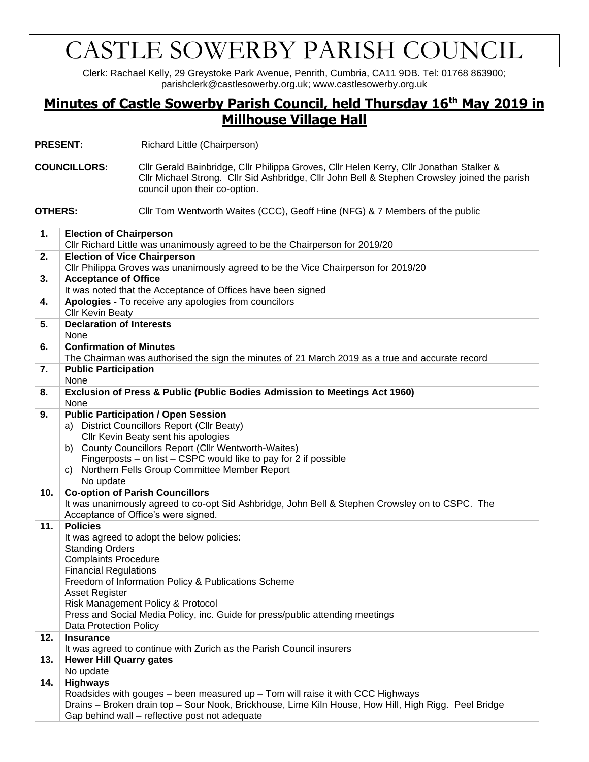## CASTLE SOWERBY PARISH COUNCIL

Clerk: Rachael Kelly, 29 Greystoke Park Avenue, Penrith, Cumbria, CA11 9DB. Tel: 01768 863900; parishclerk@castlesowerby.org.uk; www.castlesowerby.org.uk

## **Minutes of Castle Sowerby Parish Council, held Thursday 16th May 2019 in Millhouse Village Hall**

**PRESENT:** Richard Little (Chairperson)

**COUNCILLORS:** Cllr Gerald Bainbridge, Cllr Philippa Groves, Cllr Helen Kerry, Cllr Jonathan Stalker & Cllr Michael Strong. Cllr Sid Ashbridge, Cllr John Bell & Stephen Crowsley joined the parish council upon their co-option.

**OTHERS:** Cllr Tom Wentworth Waites (CCC), Geoff Hine (NFG) & 7 Members of the public

| 1.  | <b>Election of Chairperson</b>                                                                       |
|-----|------------------------------------------------------------------------------------------------------|
|     | Cllr Richard Little was unanimously agreed to be the Chairperson for 2019/20                         |
| 2.  | <b>Election of Vice Chairperson</b>                                                                  |
|     | Cllr Philippa Groves was unanimously agreed to be the Vice Chairperson for 2019/20                   |
| 3.  | <b>Acceptance of Office</b>                                                                          |
|     | It was noted that the Acceptance of Offices have been signed                                         |
| 4.  | Apologies - To receive any apologies from councilors                                                 |
|     | <b>Cllr Kevin Beaty</b>                                                                              |
| 5.  | <b>Declaration of Interests</b>                                                                      |
|     | None                                                                                                 |
| 6.  | <b>Confirmation of Minutes</b>                                                                       |
|     | The Chairman was authorised the sign the minutes of 21 March 2019 as a true and accurate record      |
| 7.  | <b>Public Participation</b>                                                                          |
|     | None                                                                                                 |
| 8.  | Exclusion of Press & Public (Public Bodies Admission to Meetings Act 1960)                           |
|     | None                                                                                                 |
| 9.  | <b>Public Participation / Open Session</b>                                                           |
|     | a) District Councillors Report (Cllr Beaty)                                                          |
|     | Cllr Kevin Beaty sent his apologies                                                                  |
|     | b) County Councillors Report (Cllr Wentworth-Waites)                                                 |
|     | Fingerposts - on list - CSPC would like to pay for 2 if possible                                     |
|     | Northern Fells Group Committee Member Report<br>C)                                                   |
|     | No update                                                                                            |
| 10. | <b>Co-option of Parish Councillors</b>                                                               |
|     | It was unanimously agreed to co-opt Sid Ashbridge, John Bell & Stephen Crowsley on to CSPC. The      |
|     | Acceptance of Office's were signed.                                                                  |
| 11. | <b>Policies</b>                                                                                      |
|     | It was agreed to adopt the below policies:                                                           |
|     | <b>Standing Orders</b>                                                                               |
|     | <b>Complaints Procedure</b>                                                                          |
|     | <b>Financial Regulations</b>                                                                         |
|     | Freedom of Information Policy & Publications Scheme                                                  |
|     | <b>Asset Register</b>                                                                                |
|     | Risk Management Policy & Protocol                                                                    |
|     | Press and Social Media Policy, inc. Guide for press/public attending meetings                        |
|     | Data Protection Policy                                                                               |
| 12. | <b>Insurance</b>                                                                                     |
|     | It was agreed to continue with Zurich as the Parish Council insurers                                 |
| 13. | <b>Hewer Hill Quarry gates</b>                                                                       |
|     | No update                                                                                            |
| 14. | <b>Highways</b>                                                                                      |
|     | Roadsides with gouges - been measured up - Tom will raise it with CCC Highways                       |
|     | Drains - Broken drain top - Sour Nook, Brickhouse, Lime Kiln House, How Hill, High Rigg. Peel Bridge |
|     | Gap behind wall - reflective post not adequate                                                       |